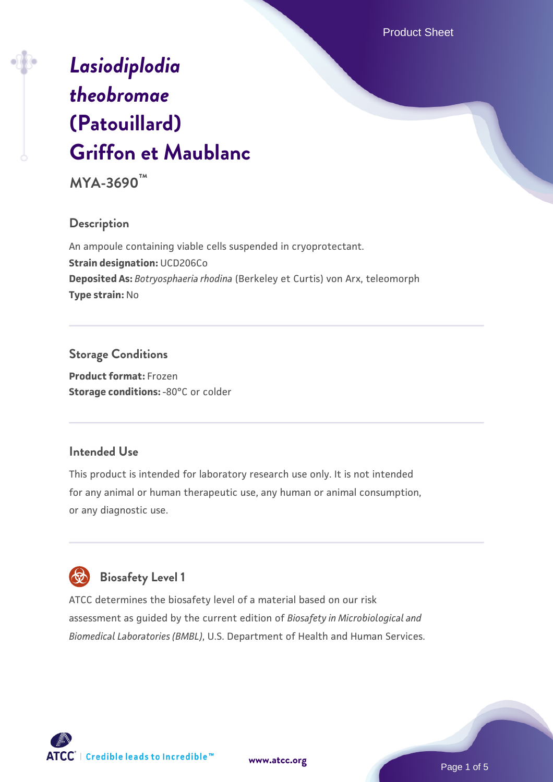Product Sheet

# *[Lasiodiplodia](https://www.atcc.org/products/mya-3690) [theobromae](https://www.atcc.org/products/mya-3690)* **[\(Patouillard\)](https://www.atcc.org/products/mya-3690) [Griffon et Maublanc](https://www.atcc.org/products/mya-3690)**

**MYA-3690™**

#### **Description**

An ampoule containing viable cells suspended in cryoprotectant. **Strain designation:** UCD206Co **Deposited As:** *Botryosphaeria rhodina* (Berkeley et Curtis) von Arx, teleomorph **Type strain:** No

### **Storage Conditions**

**Product format:** Frozen **Storage conditions: -80°C or colder** 

#### **Intended Use**

This product is intended for laboratory research use only. It is not intended for any animal or human therapeutic use, any human or animal consumption, or any diagnostic use.

# **Biosafety Level 1**

ATCC determines the biosafety level of a material based on our risk assessment as guided by the current edition of *Biosafety in Microbiological and Biomedical Laboratories (BMBL)*, U.S. Department of Health and Human Services.

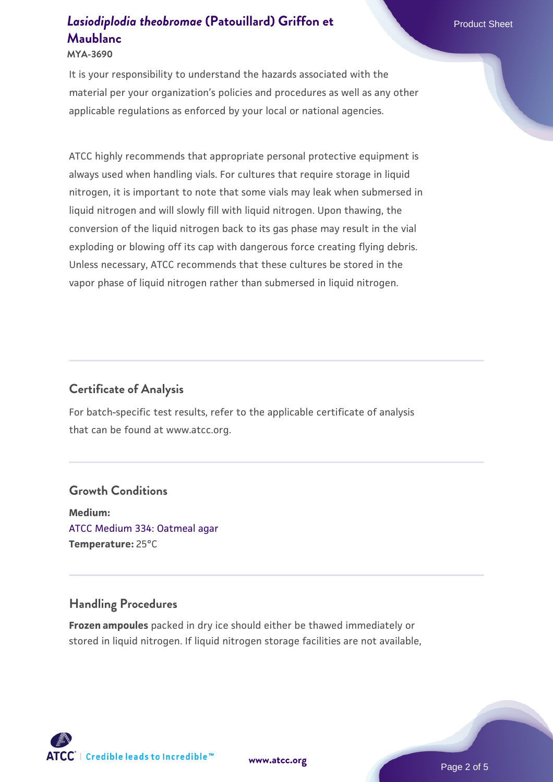#### **MYA-3690**

It is your responsibility to understand the hazards associated with the material per your organization's policies and procedures as well as any other applicable regulations as enforced by your local or national agencies.

ATCC highly recommends that appropriate personal protective equipment is always used when handling vials. For cultures that require storage in liquid nitrogen, it is important to note that some vials may leak when submersed in liquid nitrogen and will slowly fill with liquid nitrogen. Upon thawing, the conversion of the liquid nitrogen back to its gas phase may result in the vial exploding or blowing off its cap with dangerous force creating flying debris. Unless necessary, ATCC recommends that these cultures be stored in the vapor phase of liquid nitrogen rather than submersed in liquid nitrogen.

#### **Certificate of Analysis**

For batch-specific test results, refer to the applicable certificate of analysis that can be found at www.atcc.org.

#### **Growth Conditions**

**Medium:**  [ATCC Medium 334: Oatmeal agar](https://www.atcc.org/-/media/product-assets/documents/microbial-media-formulations/3/3/4/atcc-medium-334.pdf?rev=e382a75a48794764902dd7457c97fc29) **Temperature:** 25°C

#### **Handling Procedures**

**Frozen ampoules** packed in dry ice should either be thawed immediately or stored in liquid nitrogen. If liquid nitrogen storage facilities are not available,

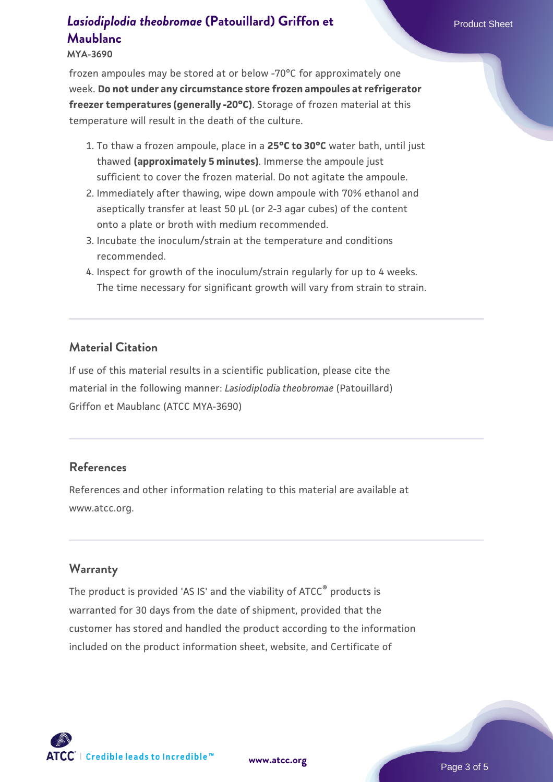**MYA-3690**

frozen ampoules may be stored at or below -70°C for approximately one week. **Do not under any circumstance store frozen ampoules at refrigerator freezer temperatures (generally -20°C)**. Storage of frozen material at this temperature will result in the death of the culture.

- 1. To thaw a frozen ampoule, place in a **25°C to 30°C** water bath, until just thawed **(approximately 5 minutes)**. Immerse the ampoule just sufficient to cover the frozen material. Do not agitate the ampoule.
- 2. Immediately after thawing, wipe down ampoule with 70% ethanol and aseptically transfer at least 50 µL (or 2-3 agar cubes) of the content onto a plate or broth with medium recommended.
- 3. Incubate the inoculum/strain at the temperature and conditions recommended.
- 4. Inspect for growth of the inoculum/strain regularly for up to 4 weeks. The time necessary for significant growth will vary from strain to strain.

#### **Material Citation**

If use of this material results in a scientific publication, please cite the material in the following manner: *Lasiodiplodia theobromae* (Patouillard) Griffon et Maublanc (ATCC MYA-3690)

#### **References**

References and other information relating to this material are available at www.atcc.org.

#### **Warranty**

The product is provided 'AS IS' and the viability of ATCC<sup>®</sup> products is warranted for 30 days from the date of shipment, provided that the customer has stored and handled the product according to the information included on the product information sheet, website, and Certificate of

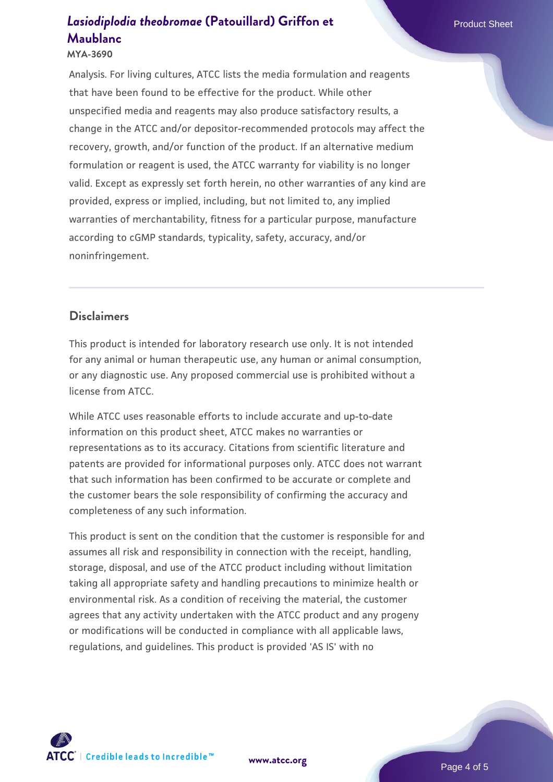#### **MYA-3690**

Analysis. For living cultures, ATCC lists the media formulation and reagents that have been found to be effective for the product. While other unspecified media and reagents may also produce satisfactory results, a change in the ATCC and/or depositor-recommended protocols may affect the recovery, growth, and/or function of the product. If an alternative medium formulation or reagent is used, the ATCC warranty for viability is no longer valid. Except as expressly set forth herein, no other warranties of any kind are provided, express or implied, including, but not limited to, any implied warranties of merchantability, fitness for a particular purpose, manufacture according to cGMP standards, typicality, safety, accuracy, and/or noninfringement.

#### **Disclaimers**

This product is intended for laboratory research use only. It is not intended for any animal or human therapeutic use, any human or animal consumption, or any diagnostic use. Any proposed commercial use is prohibited without a license from ATCC.

While ATCC uses reasonable efforts to include accurate and up-to-date information on this product sheet, ATCC makes no warranties or representations as to its accuracy. Citations from scientific literature and patents are provided for informational purposes only. ATCC does not warrant that such information has been confirmed to be accurate or complete and the customer bears the sole responsibility of confirming the accuracy and completeness of any such information.

This product is sent on the condition that the customer is responsible for and assumes all risk and responsibility in connection with the receipt, handling, storage, disposal, and use of the ATCC product including without limitation taking all appropriate safety and handling precautions to minimize health or environmental risk. As a condition of receiving the material, the customer agrees that any activity undertaken with the ATCC product and any progeny or modifications will be conducted in compliance with all applicable laws, regulations, and guidelines. This product is provided 'AS IS' with no



**[www.atcc.org](http://www.atcc.org)**

Page 4 of 5